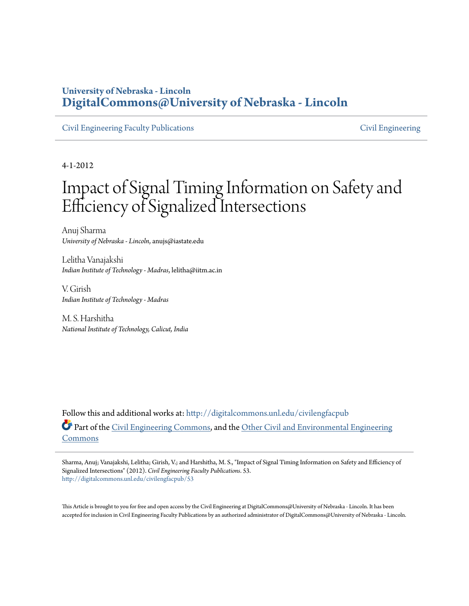### **University of Nebraska - Lincoln [DigitalCommons@University of Nebraska - Lincoln](http://digitalcommons.unl.edu?utm_source=digitalcommons.unl.edu%2Fcivilengfacpub%2F53&utm_medium=PDF&utm_campaign=PDFCoverPages)**

[Civil Engineering Faculty Publications](http://digitalcommons.unl.edu/civilengfacpub?utm_source=digitalcommons.unl.edu%2Fcivilengfacpub%2F53&utm_medium=PDF&utm_campaign=PDFCoverPages) [Civil Engineering](http://digitalcommons.unl.edu/civilengineering?utm_source=digitalcommons.unl.edu%2Fcivilengfacpub%2F53&utm_medium=PDF&utm_campaign=PDFCoverPages)

4-1-2012

# Impact of Signal Timing Information on Safety and Efficiency of Signalized Intersections

Anuj Sharma *University of Nebraska - Lincoln*, anujs@iastate.edu

Lelitha Vanajakshi *Indian Institute of Technology - Madras*, lelitha@iitm.ac.in

V. Girish *Indian Institute of Technology - Madras*

M. S. Harshitha *National Institute of Technology, Calicut, India*

Follow this and additional works at: [http://digitalcommons.unl.edu/civilengfacpub](http://digitalcommons.unl.edu/civilengfacpub?utm_source=digitalcommons.unl.edu%2Fcivilengfacpub%2F53&utm_medium=PDF&utm_campaign=PDFCoverPages) Part of the [Civil Engineering Commons,](http://network.bepress.com/hgg/discipline/252?utm_source=digitalcommons.unl.edu%2Fcivilengfacpub%2F53&utm_medium=PDF&utm_campaign=PDFCoverPages) and the [Other Civil and Environmental Engineering](http://network.bepress.com/hgg/discipline/257?utm_source=digitalcommons.unl.edu%2Fcivilengfacpub%2F53&utm_medium=PDF&utm_campaign=PDFCoverPages) [Commons](http://network.bepress.com/hgg/discipline/257?utm_source=digitalcommons.unl.edu%2Fcivilengfacpub%2F53&utm_medium=PDF&utm_campaign=PDFCoverPages)

Sharma, Anuj; Vanajakshi, Lelitha; Girish, V.; and Harshitha, M. S., "Impact of Signal Timing Information on Safety and Efficiency of Signalized Intersections" (2012). *Civil Engineering Faculty Publications*. 53. [http://digitalcommons.unl.edu/civilengfacpub/53](http://digitalcommons.unl.edu/civilengfacpub/53?utm_source=digitalcommons.unl.edu%2Fcivilengfacpub%2F53&utm_medium=PDF&utm_campaign=PDFCoverPages)

This Article is brought to you for free and open access by the Civil Engineering at DigitalCommons@University of Nebraska - Lincoln. It has been accepted for inclusion in Civil Engineering Faculty Publications by an authorized administrator of DigitalCommons@University of Nebraska - Lincoln.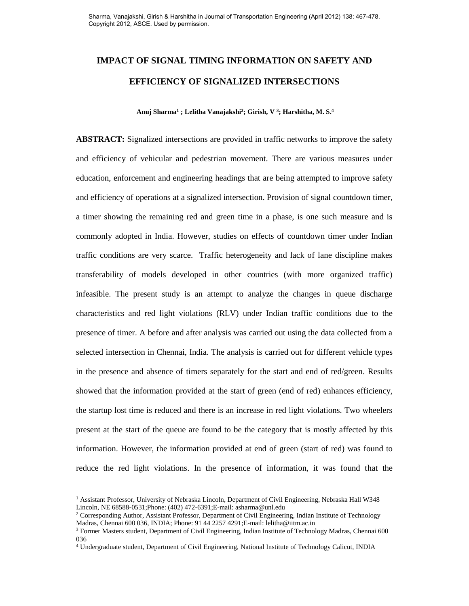# **IMPACT OF SIGNAL TIMING INFORMATION ON SAFETY AND EFFICIENCY OF SIGNALIZED INTERSECTIONS**

 **Anuj Sharma<sup>1</sup> ; Lelitha Vanajakshi<sup>2</sup> ; Girish, V <sup>3</sup> ; Harshitha, M. S.<sup>4</sup>**

**ABSTRACT:** Signalized intersections are provided in traffic networks to improve the safety and efficiency of vehicular and pedestrian movement. There are various measures under education, enforcement and engineering headings that are being attempted to improve safety and efficiency of operations at a signalized intersection. Provision of signal countdown timer, a timer showing the remaining red and green time in a phase, is one such measure and is commonly adopted in India. However, studies on effects of countdown timer under Indian traffic conditions are very scarce. Traffic heterogeneity and lack of lane discipline makes transferability of models developed in other countries (with more organized traffic) infeasible. The present study is an attempt to analyze the changes in queue discharge characteristics and red light violations (RLV) under Indian traffic conditions due to the presence of timer. A before and after analysis was carried out using the data collected from a selected intersection in Chennai, India. The analysis is carried out for different vehicle types in the presence and absence of timers separately for the start and end of red/green. Results showed that the information provided at the start of green (end of red) enhances efficiency, the startup lost time is reduced and there is an increase in red light violations. Two wheelers present at the start of the queue are found to be the category that is mostly affected by this information. However, the information provided at end of green (start of red) was found to reduce the red light violations. In the presence of information, it was found that the

 $\overline{a}$ 

<sup>&</sup>lt;sup>1</sup> Assistant Professor, University of Nebraska Lincoln, Department of Civil Engineering, Nebraska Hall W348 Lincoln, NE 68588-0531;Phone: (402) 472-6391;E-mail: asharma@unl.edu

<sup>&</sup>lt;sup>2</sup> Corresponding Author, Assistant Professor, Department of Civil Engineering, Indian Institute of Technology Madras, Chennai 600 036, INDIA; Phone: 91 44 2257 4291;E-mail: lelitha@iitm.ac.in

<sup>&</sup>lt;sup>3</sup> Former Masters student, Department of Civil Engineering, Indian Institute of Technology Madras, Chennai 600 036

<sup>4</sup> Undergraduate student, Department of Civil Engineering, National Institute of Technology Calicut, INDIA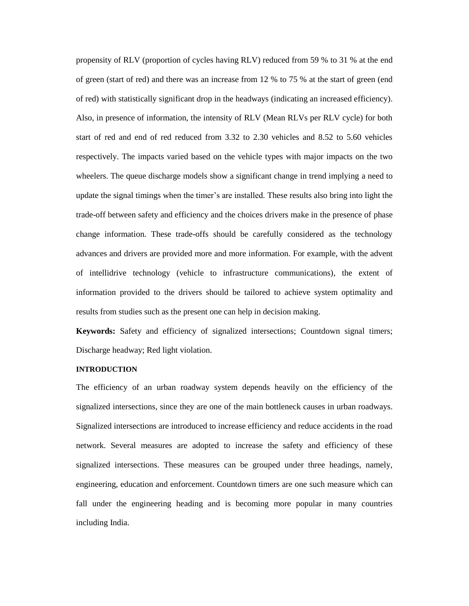propensity of RLV (proportion of cycles having RLV) reduced from 59 % to 31 % at the end of green (start of red) and there was an increase from 12 % to 75 % at the start of green (end of red) with statistically significant drop in the headways (indicating an increased efficiency). Also, in presence of information, the intensity of RLV (Mean RLVs per RLV cycle) for both start of red and end of red reduced from 3.32 to 2.30 vehicles and 8.52 to 5.60 vehicles respectively. The impacts varied based on the vehicle types with major impacts on the two wheelers. The queue discharge models show a significant change in trend implying a need to update the signal timings when the timer's are installed. These results also bring into light the trade-off between safety and efficiency and the choices drivers make in the presence of phase change information. These trade-offs should be carefully considered as the technology advances and drivers are provided more and more information. For example, with the advent of intellidrive technology (vehicle to infrastructure communications), the extent of information provided to the drivers should be tailored to achieve system optimality and results from studies such as the present one can help in decision making.

**Keywords:** Safety and efficiency of signalized intersections; Countdown signal timers; Discharge headway; Red light violation.

#### **INTRODUCTION**

The efficiency of an urban roadway system depends heavily on the efficiency of the signalized intersections, since they are one of the main bottleneck causes in urban roadways. Signalized intersections are introduced to increase efficiency and reduce accidents in the road network. Several measures are adopted to increase the safety and efficiency of these signalized intersections. These measures can be grouped under three headings, namely, engineering, education and enforcement. Countdown timers are one such measure which can fall under the engineering heading and is becoming more popular in many countries including India.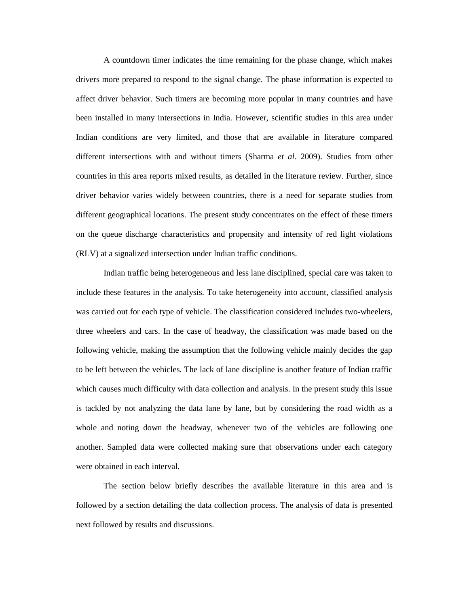A countdown timer indicates the time remaining for the phase change, which makes drivers more prepared to respond to the signal change. The phase information is expected to affect driver behavior. Such timers are becoming more popular in many countries and have been installed in many intersections in India. However, scientific studies in this area under Indian conditions are very limited, and those that are available in literature compared different intersections with and without timers (Sharma *et al.* 2009). Studies from other countries in this area reports mixed results, as detailed in the literature review. Further, since driver behavior varies widely between countries, there is a need for separate studies from different geographical locations. The present study concentrates on the effect of these timers on the queue discharge characteristics and propensity and intensity of red light violations (RLV) at a signalized intersection under Indian traffic conditions.

Indian traffic being heterogeneous and less lane disciplined, special care was taken to include these features in the analysis. To take heterogeneity into account, classified analysis was carried out for each type of vehicle. The classification considered includes two-wheelers, three wheelers and cars. In the case of headway, the classification was made based on the following vehicle, making the assumption that the following vehicle mainly decides the gap to be left between the vehicles. The lack of lane discipline is another feature of Indian traffic which causes much difficulty with data collection and analysis. In the present study this issue is tackled by not analyzing the data lane by lane, but by considering the road width as a whole and noting down the headway, whenever two of the vehicles are following one another. Sampled data were collected making sure that observations under each category were obtained in each interval.

The section below briefly describes the available literature in this area and is followed by a section detailing the data collection process. The analysis of data is presented next followed by results and discussions.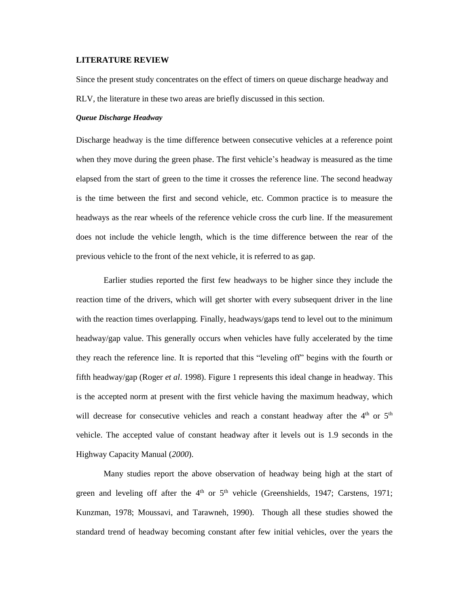#### **LITERATURE REVIEW**

Since the present study concentrates on the effect of timers on queue discharge headway and RLV, the literature in these two areas are briefly discussed in this section.

#### *Queue Discharge Headway*

Discharge headway is the time difference between consecutive vehicles at a reference point when they move during the green phase. The first vehicle's headway is measured as the time elapsed from the start of green to the time it crosses the reference line. The second headway is the time between the first and second vehicle, etc. Common practice is to measure the headways as the rear wheels of the reference vehicle cross the curb line. If the measurement does not include the vehicle length, which is the time difference between the rear of the previous vehicle to the front of the next vehicle, it is referred to as gap.

Earlier studies reported the first few headways to be higher since they include the reaction time of the drivers, which will get shorter with every subsequent driver in the line with the reaction times overlapping. Finally, headways/gaps tend to level out to the minimum headway/gap value. This generally occurs when vehicles have fully accelerated by the time they reach the reference line. It is reported that this "leveling off" begins with the fourth or fifth headway/gap (Roger *et al*. 1998). Figure 1 represents this ideal change in headway. This is the accepted norm at present with the first vehicle having the maximum headway, which will decrease for consecutive vehicles and reach a constant headway after the  $4<sup>th</sup>$  or  $5<sup>th</sup>$ vehicle. The accepted value of constant headway after it levels out is 1.9 seconds in the Highway Capacity Manual (*2000*).

Many studies report the above observation of headway being high at the start of green and leveling off after the  $4<sup>th</sup>$  or  $5<sup>th</sup>$  vehicle (Greenshields, 1947; Carstens, 1971; Kunzman, 1978; Moussavi, and Tarawneh*,* 1990). Though all these studies showed the standard trend of headway becoming constant after few initial vehicles, over the years the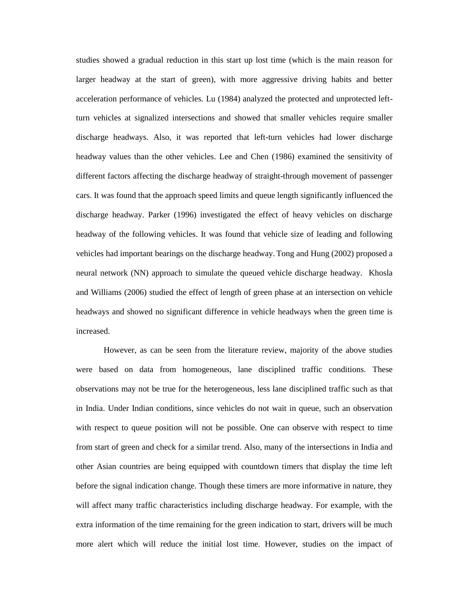studies showed a gradual reduction in this start up lost time (which is the main reason for larger headway at the start of green), with more aggressive driving habits and better acceleration performance of vehicles. Lu (1984) analyzed the protected and unprotected leftturn vehicles at signalized intersections and showed that smaller vehicles require smaller discharge headways. Also, it was reported that left-turn vehicles had lower discharge headway values than the other vehicles. Lee and Chen (1986) examined the sensitivity of different factors affecting the discharge headway of straight-through movement of passenger cars. It was found that the approach speed limits and queue length significantly influenced the discharge headway. Parker (1996) investigated the effect of heavy vehicles on discharge headway of the following vehicles. It was found that vehicle size of leading and following vehicles had important bearings on the discharge headway. Tong and Hung (2002) proposed a neural network (NN) approach to simulate the queued vehicle discharge headway[.](file:///D:/official/official/varun/Desktop/head%20way/Neural%20network%20modeling%20of%20vehicle%20discharge%20headwaynext%20term%20at%20signalized%20intersection%20model%20de.htm%23hit5) Khosla and Williams (2006) studied the effect of length of green phase at an intersection on vehicle headways and showed no significant difference in vehicle headways when the green time is increased.

However, as can be seen from the literature review, majority of the above studies were based on data from homogeneous, lane disciplined traffic conditions. These observations may not be true for the heterogeneous, less lane disciplined traffic such as that in India. Under Indian conditions, since vehicles do not wait in queue, such an observation with respect to queue position will not be possible. One can observe with respect to time from start of green and check for a similar trend. Also, many of the intersections in India and other Asian countries are being equipped with countdown timers that display the time left before the signal indication change. Though these timers are more informative in nature, they will affect many traffic characteristics including discharge headway. For example, with the extra information of the time remaining for the green indication to start, drivers will be much more alert which will reduce the initial lost time. However, studies on the impact of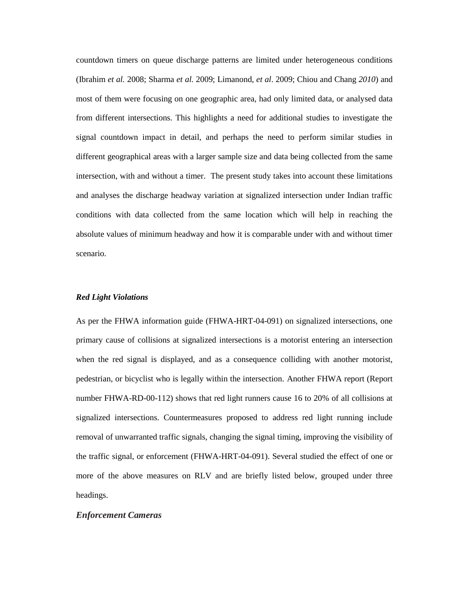countdown timers on queue discharge patterns are limited under heterogeneous conditions (Ibrahim *et al.* 2008; Sharma *et al.* 2009; Limanond, *et al*. 2009; Chiou and Chang *2010*) and most of them were focusing on one geographic area, had only limited data, or analysed data from different intersections. This highlights a need for additional studies to investigate the signal countdown impact in detail, and perhaps the need to perform similar studies in different geographical areas with a larger sample size and data being collected from the same intersection, with and without a timer. The present study takes into account these limitations and analyses the discharge headway variation at signalized intersection under Indian traffic conditions with data collected from the same location which will help in reaching the absolute values of minimum headway and how it is comparable under with and without timer scenario.

#### *Red Light Violations*

As per the FHWA information guide (FHWA-HRT-04-091) on signalized intersections, one primary cause of collisions at signalized intersections is a motorist entering an intersection when the red signal is displayed, and as a consequence colliding with another motorist, pedestrian, or bicyclist who is legally within the intersection. Another FHWA report (Report number FHWA-RD-00-112) shows that red light runners cause 16 to 20% of all collisions at signalized intersections. Countermeasures proposed to address red light running include removal of unwarranted traffic signals, changing the signal timing, improving the visibility of the traffic signal, or enforcement (FHWA-HRT-04-091). Several studied the effect of one or more of the above measures on RLV and are briefly listed below, grouped under three headings.

#### *Enforcement Cameras*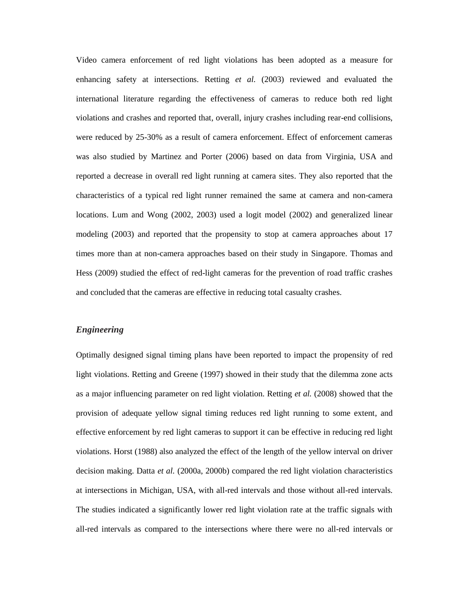Video camera enforcement of red light violations has been adopted as a measure for enhancing safety at intersections. Retting *et al.* (2003) reviewed and evaluated the international literature regarding the effectiveness of cameras to reduce both red light violations and crashes and reported that, overall, injury crashes including rear-end collisions, were reduced by 25-30% as a result of camera enforcement. Effect of enforcement cameras was also studied by Martinez and Porter (2006) based on data from Virginia, USA and reported a decrease in overall red light running at camera sites. They also reported that the characteristics of a typical red light runner remained the same at camera and non-camera locations. Lum and Wong (2002, 2003) used a logit model (2002) and generalized linear modeling (2003) and reported that the propensity to stop at camera approaches about 17 times more than at non-camera approaches based on their study in Singapore. Thomas and Hess (2009) studied the effect of red-light cameras for the prevention of road traffic crashes and concluded that the cameras are effective in reducing total casualty crashes.

#### *Engineering*

Optimally designed signal timing plans have been reported to impact the propensity of red light violations. Retting and Greene (1997) showed in their study that the dilemma zone acts as a major influencing parameter on red light violation. Retting *et al.* (2008) showed that the provision of adequate yellow signal timing reduces red light running to some extent, and effective enforcement by red light cameras to support it can be effective in reducing red light violations. Horst (1988) also analyzed the effect of the length of the yellow interval on driver decision making. Datta *et al.* (2000a, 2000b) compared the red light violation characteristics at intersections in Michigan, USA, with all-red intervals and those without all-red intervals. The studies indicated a significantly lower red light violation rate at the traffic signals with all-red intervals as compared to the intersections where there were no all-red intervals or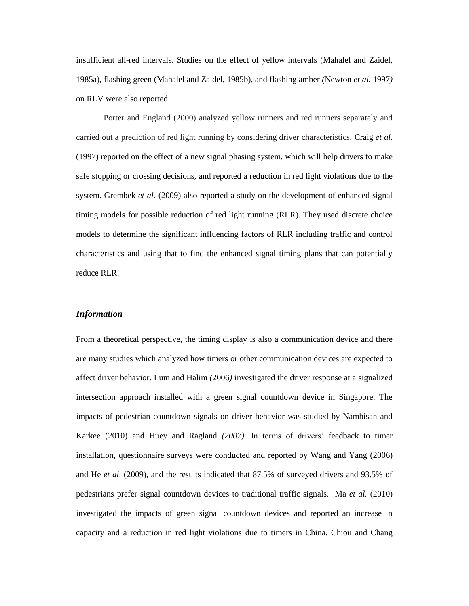insufficient all-red intervals. Studies on the effect of yellow intervals (Mahalel and Zaidel, 1985a), flashing green (Mahalel and Zaidel, 1985b), and flashing amber *(*Newton *et al.* 1997*)*  on RLV were also reported.

Porter and England (2000) analyzed yellow runners and red runners separately and carried out a prediction of red light running by considering driver characteristics. Craig *et al.* (1997) reported on the effect of a new signal phasing system, which will help drivers to make safe stopping or crossing decisions, and reported a reduction in red light violations due to the system. Grembek *et al.* (2009) also reported a study on the development of enhanced signal timing models for possible reduction of red light running (RLR). They used discrete choice models to determine the significant influencing factors of RLR including traffic and control characteristics and using that to find the enhanced signal timing plans that can potentially reduce RLR.

#### *Information*

From a theoretical perspective, the timing display is also a communication device and there are many studies which analyzed how timers or other communication devices are expected to affect driver behavior. Lum and Halim *(*2006*)* investigated the driver response at a signalized intersection approach installed with a green signal countdown device in Singapore. The impacts of pedestrian countdown signals on driver behavior was studied by Nambisan and Karkee (2010) and Huey and Ragland *(2007)*. In terms of drivers' feedback to timer installation, questionnaire surveys were conducted and reported by Wang and Yang (2006) and He *et al*. (2009), and the results indicated that 87.5% of surveyed drivers and 93.5% of pedestrians prefer signal countdown devices to traditional traffic signals. Ma *et al.* (2010) investigated the impacts of green signal countdown devices and reported an increase in capacity and a reduction in red light violations due to timers in China. Chiou and Chang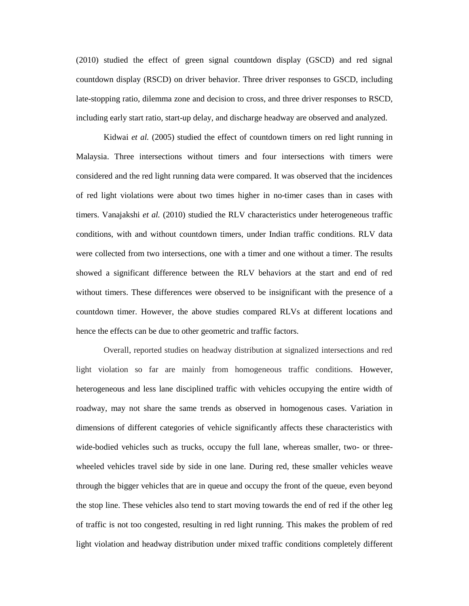(2010) studied the effect of green signal countdown display (GSCD) and red signal countdown display (RSCD) on driver behavior. Three driver responses to GSCD, including late-stopping ratio, dilemma zone and decision to cross, and three driver responses to RSCD, including early start ratio, start-up delay, and discharge headway are observed and analyzed.

Kidwai *et al.* (2005) studied the effect of countdown timers on red light running in Malaysia. Three intersections without timers and four intersections with timers were considered and the red light running data were compared. It was observed that the incidences of red light violations were about two times higher in no-timer cases than in cases with timers. Vanajakshi *et al.* (2010) studied the RLV characteristics under heterogeneous traffic conditions, with and without countdown timers, under Indian traffic conditions. RLV data were collected from two intersections, one with a timer and one without a timer. The results showed a significant difference between the RLV behaviors at the start and end of red without timers. These differences were observed to be insignificant with the presence of a countdown timer. However, the above studies compared RLVs at different locations and hence the effects can be due to other geometric and traffic factors.

Overall, reported studies on headway distribution at signalized intersections and red light violation so far are mainly from homogeneous traffic conditions. However, heterogeneous and less lane disciplined traffic with vehicles occupying the entire width of roadway, may not share the same trends as observed in homogenous cases. Variation in dimensions of different categories of vehicle significantly affects these characteristics with wide-bodied vehicles such as trucks, occupy the full lane, whereas smaller, two- or threewheeled vehicles travel side by side in one lane. During red, these smaller vehicles weave through the bigger vehicles that are in queue and occupy the front of the queue, even beyond the stop line. These vehicles also tend to start moving towards the end of red if the other leg of traffic is not too congested, resulting in red light running. This makes the problem of red light violation and headway distribution under mixed traffic conditions completely different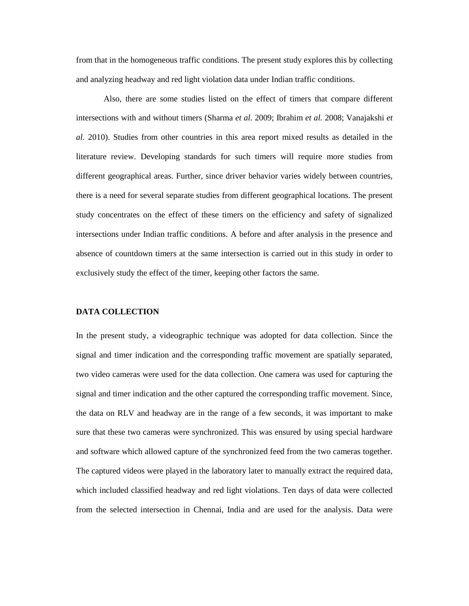from that in the homogeneous traffic conditions. The present study explores this by collecting and analyzing headway and red light violation data under Indian traffic conditions.

Also, there are some studies listed on the effect of timers that compare different intersections with and without timers (Sharma *et al.* 2009; Ibrahim *et al.* 2008; Vanajakshi *et al.* 2010). Studies from other countries in this area report mixed results as detailed in the literature review. Developing standards for such timers will require more studies from different geographical areas. Further, since driver behavior varies widely between countries, there is a need for several separate studies from different geographical locations. The present study concentrates on the effect of these timers on the efficiency and safety of signalized intersections under Indian traffic conditions. A before and after analysis in the presence and absence of countdown timers at the same intersection is carried out in this study in order to exclusively study the effect of the timer, keeping other factors the same.

#### **DATA COLLECTION**

In the present study, a videographic technique was adopted for data collection. Since the signal and timer indication and the corresponding traffic movement are spatially separated, two video cameras were used for the data collection. One camera was used for capturing the signal and timer indication and the other captured the corresponding traffic movement. Since, the data on RLV and headway are in the range of a few seconds, it was important to make sure that these two cameras were synchronized. This was ensured by using special hardware and software which allowed capture of the synchronized feed from the two cameras together. The captured videos were played in the laboratory later to manually extract the required data, which included classified headway and red light violations. Ten days of data were collected from the selected intersection in Chennai, India and are used for the analysis. Data were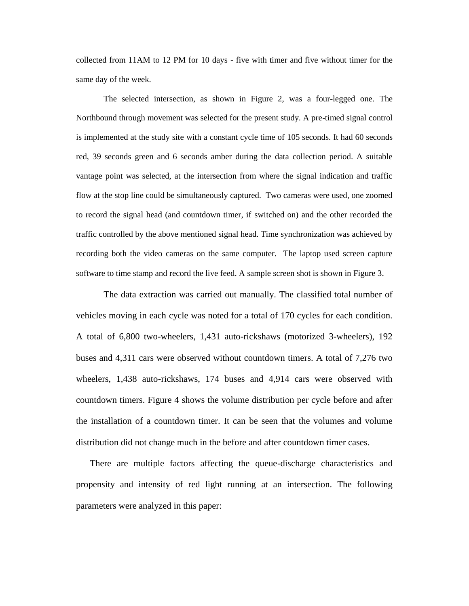collected from 11AM to 12 PM for 10 days - five with timer and five without timer for the same day of the week.

The selected intersection, as shown in Figure 2, was a four-legged one. The Northbound through movement was selected for the present study. A pre-timed signal control is implemented at the study site with a constant cycle time of 105 seconds. It had 60 seconds red, 39 seconds green and 6 seconds amber during the data collection period. A suitable vantage point was selected, at the intersection from where the signal indication and traffic flow at the stop line could be simultaneously captured. Two cameras were used, one zoomed to record the signal head (and countdown timer, if switched on) and the other recorded the traffic controlled by the above mentioned signal head. Time synchronization was achieved by recording both the video cameras on the same computer. The laptop used screen capture software to time stamp and record the live feed. A sample screen shot is shown in Figure 3.

The data extraction was carried out manually. The classified total number of vehicles moving in each cycle was noted for a total of 170 cycles for each condition. A total of 6,800 two-wheelers, 1,431 auto-rickshaws (motorized 3-wheelers), 192 buses and 4,311 cars were observed without countdown timers. A total of 7,276 two wheelers, 1,438 auto-rickshaws, 174 buses and 4,914 cars were observed with countdown timers. Figure 4 shows the volume distribution per cycle before and after the installation of a countdown timer. It can be seen that the volumes and volume distribution did not change much in the before and after countdown timer cases.

There are multiple factors affecting the queue-discharge characteristics and propensity and intensity of red light running at an intersection. The following parameters were analyzed in this paper: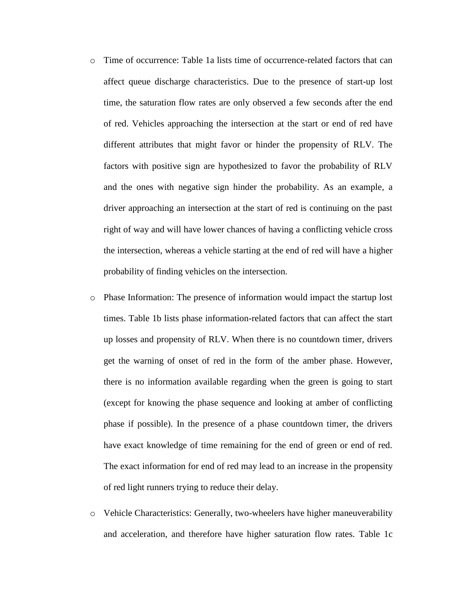- o Time of occurrence: Table 1a lists time of occurrence-related factors that can affect queue discharge characteristics. Due to the presence of start-up lost time, the saturation flow rates are only observed a few seconds after the end of red. Vehicles approaching the intersection at the start or end of red have different attributes that might favor or hinder the propensity of RLV. The factors with positive sign are hypothesized to favor the probability of RLV and the ones with negative sign hinder the probability. As an example, a driver approaching an intersection at the start of red is continuing on the past right of way and will have lower chances of having a conflicting vehicle cross the intersection, whereas a vehicle starting at the end of red will have a higher probability of finding vehicles on the intersection.
- o Phase Information: The presence of information would impact the startup lost times. Table 1b lists phase information-related factors that can affect the start up losses and propensity of RLV. When there is no countdown timer, drivers get the warning of onset of red in the form of the amber phase. However, there is no information available regarding when the green is going to start (except for knowing the phase sequence and looking at amber of conflicting phase if possible). In the presence of a phase countdown timer, the drivers have exact knowledge of time remaining for the end of green or end of red. The exact information for end of red may lead to an increase in the propensity of red light runners trying to reduce their delay.
- o Vehicle Characteristics: Generally, two-wheelers have higher maneuverability and acceleration, and therefore have higher saturation flow rates. Table 1c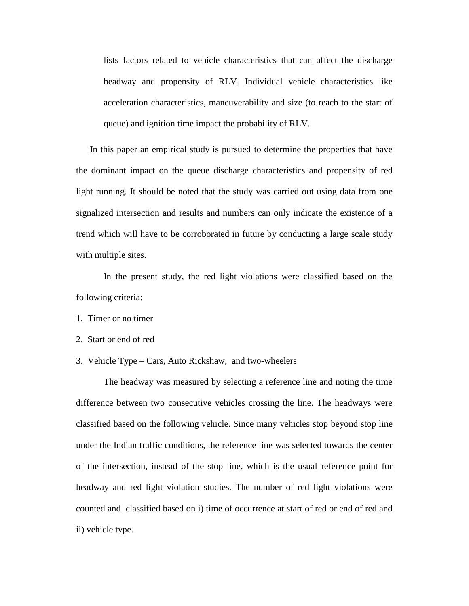lists factors related to vehicle characteristics that can affect the discharge headway and propensity of RLV. Individual vehicle characteristics like acceleration characteristics, maneuverability and size (to reach to the start of queue) and ignition time impact the probability of RLV.

In this paper an empirical study is pursued to determine the properties that have the dominant impact on the queue discharge characteristics and propensity of red light running. It should be noted that the study was carried out using data from one signalized intersection and results and numbers can only indicate the existence of a trend which will have to be corroborated in future by conducting a large scale study with multiple sites.

In the present study, the red light violations were classified based on the following criteria:

1. Timer or no timer

2. Start or end of red

3. Vehicle Type – Cars, Auto Rickshaw, and two-wheelers

The headway was measured by selecting a reference line and noting the time difference between two consecutive vehicles crossing the line. The headways were classified based on the following vehicle. Since many vehicles stop beyond stop line under the Indian traffic conditions, the reference line was selected towards the center of the intersection, instead of the stop line, which is the usual reference point for headway and red light violation studies. The number of red light violations were counted and classified based on i) time of occurrence at start of red or end of red and ii) vehicle type.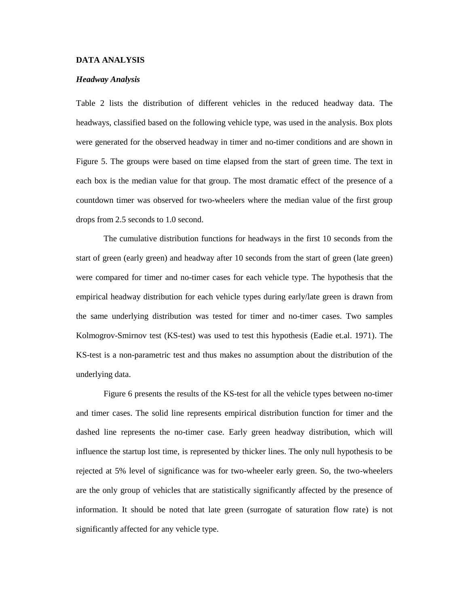#### **DATA ANALYSIS**

#### *Headway Analysis*

Table 2 lists the distribution of different vehicles in the reduced headway data. The headways, classified based on the following vehicle type, was used in the analysis. Box plots were generated for the observed headway in timer and no-timer conditions and are shown in Figure 5. The groups were based on time elapsed from the start of green time. The text in each box is the median value for that group. The most dramatic effect of the presence of a countdown timer was observed for two-wheelers where the median value of the first group drops from 2.5 seconds to 1.0 second.

The cumulative distribution functions for headways in the first 10 seconds from the start of green (early green) and headway after 10 seconds from the start of green (late green) were compared for timer and no-timer cases for each vehicle type. The hypothesis that the empirical headway distribution for each vehicle types during early/late green is drawn from the same underlying distribution was tested for timer and no-timer cases. Two samples Kolmogrov-Smirnov test (KS-test) was used to test this hypothesis (Eadie et.al. 1971). The KS-test is a non-parametric test and thus makes no assumption about the distribution of the underlying data.

Figure 6 presents the results of the KS-test for all the vehicle types between no-timer and timer cases. The solid line represents empirical distribution function for timer and the dashed line represents the no-timer case. Early green headway distribution, which will influence the startup lost time, is represented by thicker lines. The only null hypothesis to be rejected at 5% level of significance was for two-wheeler early green. So, the two-wheelers are the only group of vehicles that are statistically significantly affected by the presence of information. It should be noted that late green (surrogate of saturation flow rate) is not significantly affected for any vehicle type.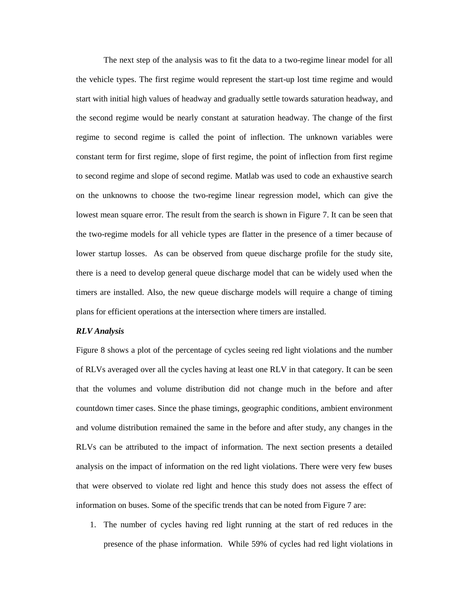The next step of the analysis was to fit the data to a two-regime linear model for all the vehicle types. The first regime would represent the start-up lost time regime and would start with initial high values of headway and gradually settle towards saturation headway, and the second regime would be nearly constant at saturation headway. The change of the first regime to second regime is called the point of inflection. The unknown variables were constant term for first regime, slope of first regime, the point of inflection from first regime to second regime and slope of second regime. Matlab was used to code an exhaustive search on the unknowns to choose the two-regime linear regression model, which can give the lowest mean square error. The result from the search is shown in Figure 7. It can be seen that the two-regime models for all vehicle types are flatter in the presence of a timer because of lower startup losses. As can be observed from queue discharge profile for the study site, there is a need to develop general queue discharge model that can be widely used when the timers are installed. Also, the new queue discharge models will require a change of timing plans for efficient operations at the intersection where timers are installed.

#### *RLV Analysis*

Figure 8 shows a plot of the percentage of cycles seeing red light violations and the number of RLVs averaged over all the cycles having at least one RLV in that category. It can be seen that the volumes and volume distribution did not change much in the before and after countdown timer cases. Since the phase timings, geographic conditions, ambient environment and volume distribution remained the same in the before and after study, any changes in the RLVs can be attributed to the impact of information. The next section presents a detailed analysis on the impact of information on the red light violations. There were very few buses that were observed to violate red light and hence this study does not assess the effect of information on buses. Some of the specific trends that can be noted from Figure 7 are:

1. The number of cycles having red light running at the start of red reduces in the presence of the phase information. While 59% of cycles had red light violations in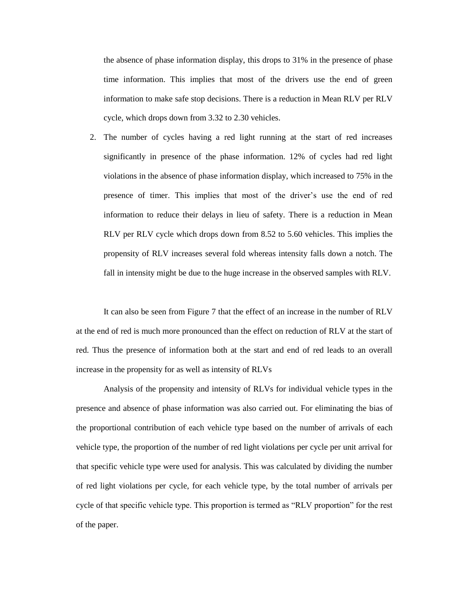the absence of phase information display, this drops to 31% in the presence of phase time information. This implies that most of the drivers use the end of green information to make safe stop decisions. There is a reduction in Mean RLV per RLV cycle, which drops down from 3.32 to 2.30 vehicles.

2. The number of cycles having a red light running at the start of red increases significantly in presence of the phase information. 12% of cycles had red light violations in the absence of phase information display, which increased to 75% in the presence of timer. This implies that most of the driver's use the end of red information to reduce their delays in lieu of safety. There is a reduction in Mean RLV per RLV cycle which drops down from 8.52 to 5.60 vehicles. This implies the propensity of RLV increases several fold whereas intensity falls down a notch. The fall in intensity might be due to the huge increase in the observed samples with RLV.

It can also be seen from Figure 7 that the effect of an increase in the number of RLV at the end of red is much more pronounced than the effect on reduction of RLV at the start of red. Thus the presence of information both at the start and end of red leads to an overall increase in the propensity for as well as intensity of RLVs

Analysis of the propensity and intensity of RLVs for individual vehicle types in the presence and absence of phase information was also carried out. For eliminating the bias of the proportional contribution of each vehicle type based on the number of arrivals of each vehicle type, the proportion of the number of red light violations per cycle per unit arrival for that specific vehicle type were used for analysis. This was calculated by dividing the number of red light violations per cycle, for each vehicle type, by the total number of arrivals per cycle of that specific vehicle type. This proportion is termed as "RLV proportion" for the rest of the paper.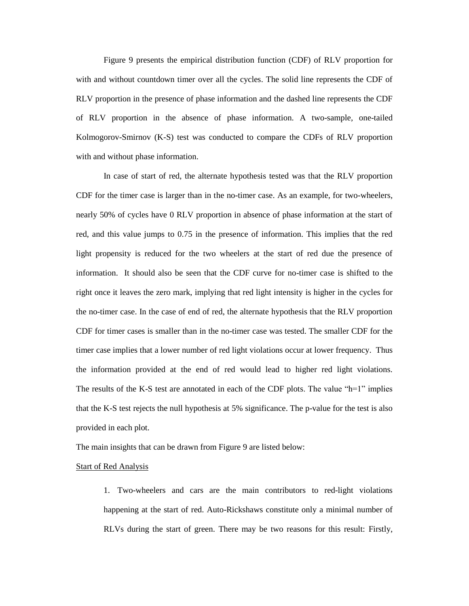Figure 9 presents the empirical distribution function (CDF) of RLV proportion for with and without countdown timer over all the cycles. The solid line represents the CDF of RLV proportion in the presence of phase information and the dashed line represents the CDF of RLV proportion in the absence of phase information. A two-sample, one-tailed Kolmogorov-Smirnov (K-S) test was conducted to compare the CDFs of RLV proportion with and without phase information.

In case of start of red, the alternate hypothesis tested was that the RLV proportion CDF for the timer case is larger than in the no-timer case. As an example, for two-wheelers, nearly 50% of cycles have 0 RLV proportion in absence of phase information at the start of red, and this value jumps to 0.75 in the presence of information. This implies that the red light propensity is reduced for the two wheelers at the start of red due the presence of information. It should also be seen that the CDF curve for no-timer case is shifted to the right once it leaves the zero mark, implying that red light intensity is higher in the cycles for the no-timer case. In the case of end of red, the alternate hypothesis that the RLV proportion CDF for timer cases is smaller than in the no-timer case was tested. The smaller CDF for the timer case implies that a lower number of red light violations occur at lower frequency. Thus the information provided at the end of red would lead to higher red light violations. The results of the K-S test are annotated in each of the CDF plots. The value "h=1" implies that the K-S test rejects the null hypothesis at 5% significance. The p-value for the test is also provided in each plot.

The main insights that can be drawn from Figure 9 are listed below:

#### Start of Red Analysis

1. Two-wheelers and cars are the main contributors to red-light violations happening at the start of red. Auto-Rickshaws constitute only a minimal number of RLVs during the start of green. There may be two reasons for this result: Firstly,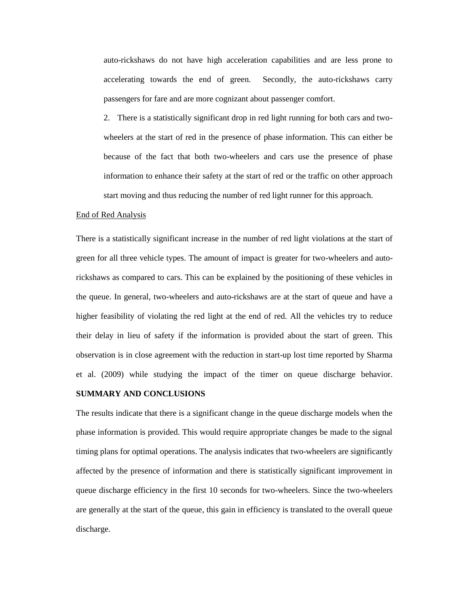auto-rickshaws do not have high acceleration capabilities and are less prone to accelerating towards the end of green. Secondly, the auto-rickshaws carry passengers for fare and are more cognizant about passenger comfort.

2. There is a statistically significant drop in red light running for both cars and twowheelers at the start of red in the presence of phase information. This can either be because of the fact that both two-wheelers and cars use the presence of phase information to enhance their safety at the start of red or the traffic on other approach start moving and thus reducing the number of red light runner for this approach.

#### End of Red Analysis

There is a statistically significant increase in the number of red light violations at the start of green for all three vehicle types. The amount of impact is greater for two-wheelers and autorickshaws as compared to cars. This can be explained by the positioning of these vehicles in the queue. In general, two-wheelers and auto-rickshaws are at the start of queue and have a higher feasibility of violating the red light at the end of red. All the vehicles try to reduce their delay in lieu of safety if the information is provided about the start of green. This observation is in close agreement with the reduction in start-up lost time reported by Sharma et al. (2009) while studying the impact of the timer on queue discharge behavior.

#### **SUMMARY AND CONCLUSIONS**

The results indicate that there is a significant change in the queue discharge models when the phase information is provided. This would require appropriate changes be made to the signal timing plans for optimal operations. The analysis indicates that two-wheelers are significantly affected by the presence of information and there is statistically significant improvement in queue discharge efficiency in the first 10 seconds for two-wheelers. Since the two-wheelers are generally at the start of the queue, this gain in efficiency is translated to the overall queue discharge.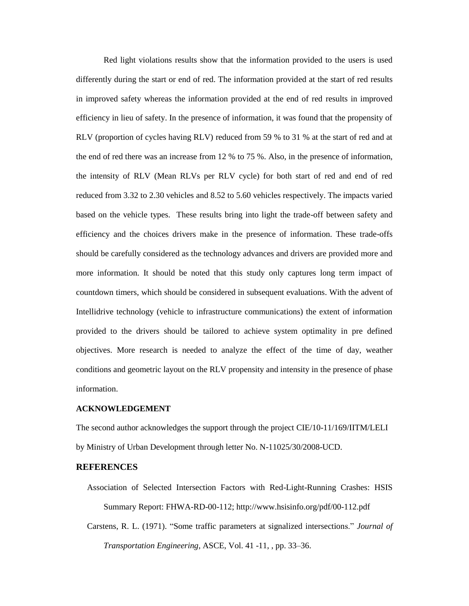Red light violations results show that the information provided to the users is used differently during the start or end of red. The information provided at the start of red results in improved safety whereas the information provided at the end of red results in improved efficiency in lieu of safety. In the presence of information, it was found that the propensity of RLV (proportion of cycles having RLV) reduced from 59 % to 31 % at the start of red and at the end of red there was an increase from 12 % to 75 %. Also, in the presence of information, the intensity of RLV (Mean RLVs per RLV cycle) for both start of red and end of red reduced from 3.32 to 2.30 vehicles and 8.52 to 5.60 vehicles respectively. The impacts varied based on the vehicle types. These results bring into light the trade-off between safety and efficiency and the choices drivers make in the presence of information. These trade-offs should be carefully considered as the technology advances and drivers are provided more and more information. It should be noted that this study only captures long term impact of countdown timers, which should be considered in subsequent evaluations. With the advent of Intellidrive technology (vehicle to infrastructure communications) the extent of information provided to the drivers should be tailored to achieve system optimality in pre defined objectives. More research is needed to analyze the effect of the time of day, weather conditions and geometric layout on the RLV propensity and intensity in the presence of phase information.

#### **ACKNOWLEDGEMENT**

The second author acknowledges the support through the project CIE/10-11/169/IITM/LELI by Ministry of Urban Development through letter No. N-11025/30/2008-UCD.

#### **REFERENCES**

- Association of Selected Intersection Factors with Red-Light-Running Crashes: HSIS Summary Report: FHWA-RD-00-112; http://www.hsisinfo.org/pdf/00-112.pdf
- Carstens, R. L. (1971). "Some traffic parameters at signalized intersections." *Journal of Transportation Engineering*, ASCE, Vol. 41 -11, , pp. 33–36.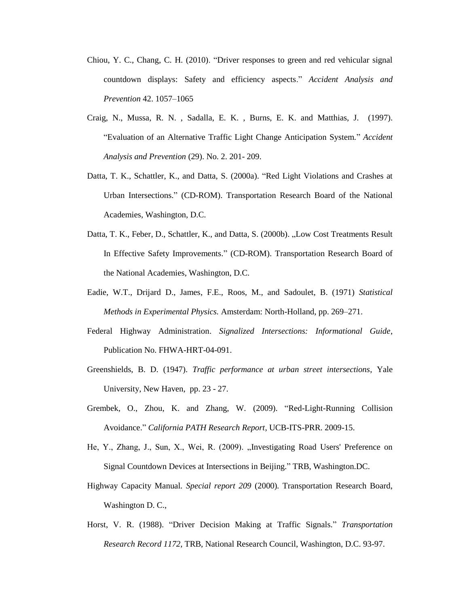- Chiou, Y. C., Chang, C. H. (2010). "Driver responses to green and red vehicular signal countdown displays: Safety and efficiency aspects." *Accident Analysis and Prevention* 42. 1057–1065
- Craig, N., Mussa, R. N. , Sadalla, E. K. , Burns, E. K. and Matthias, J. (1997). "Evaluation of an Alternative Traffic Light Change Anticipation System." *Accident Analysis and Prevention* (29). No. 2. 201- 209.
- Datta, T. K., Schattler, K., and Datta, S. (2000a). "Red Light Violations and Crashes at Urban Intersections." (CD-ROM). Transportation Research Board of the National Academies, Washington, D.C.
- Datta, T. K., Feber, D., Schattler, K., and Datta, S. (2000b). "Low Cost Treatments Result In Effective Safety Improvements." (CD-ROM). Transportation Research Board of the National Academies, Washington, D.C.
- Eadie, W.T., Drijard D., James, F.E., Roos, M., and Sadoulet, B. (1971) *Statistical Methods in Experimental Physics.* Amsterdam: North-Holland, pp. 269–271.
- Federal Highway Administration. *Signalized Intersections: Informational Guide*, Publication No. FHWA-HRT-04-091.
- Greenshields, B. D. (1947). *Traffic performance at urban street intersections*, Yale University, New Haven, pp. 23 - 27.
- Grembek, O., Zhou, K. and Zhang, W. (2009). "Red-Light-Running Collision Avoidance." *California PATH Research Report*, UCB-ITS-PRR. 2009-15.
- He, Y., Zhang, J., Sun, X., Wei, R. (2009). "Investigating Road Users' Preference on Signal Countdown Devices at Intersections in Beijing." TRB, Washington.DC.
- Highway Capacity Manual. *Special report 209* (2000)*.* Transportation Research Board, Washington D. C.,
- Horst, V. R. (1988). "Driver Decision Making at Traffic Signals." *Transportation Research Record 1172*, TRB, National Research Council, Washington, D.C. 93-97.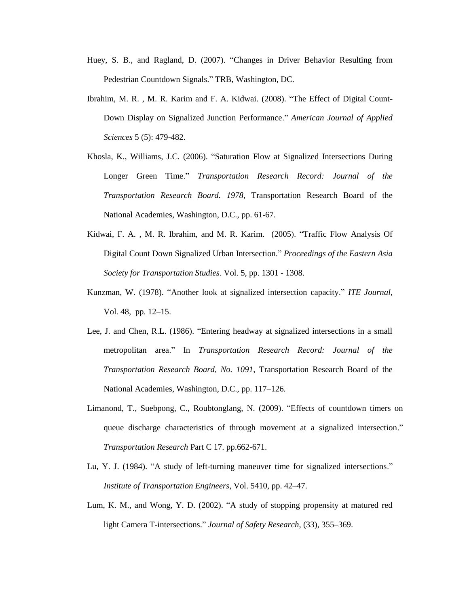- Huey, S. B., and Ragland, D. (2007). "Changes in Driver Behavior Resulting from Pedestrian Countdown Signals." TRB, Washington, DC.
- Ibrahim, M. R. , M. R. Karim and F. A. Kidwai. (2008). "The Effect of Digital Count-Down Display on Signalized Junction Performance." *American Journal of Applied Sciences* 5 (5): 479-482.
- Khosla, K., Williams, J.C. (2006). "Saturation Flow at Signalized Intersections During Longer Green Time." *Transportation Research Record: Journal of the Transportation Research Board. 1978,* Transportation Research Board of the National Academies, Washington, D.C., pp. 61-67.
- Kidwai, F. A. , M. R. Ibrahim, and M. R. Karim. (2005). "Traffic Flow Analysis Of Digital Count Down Signalized Urban Intersection." *Proceedings of the Eastern Asia Society for Transportation Studies*. Vol. 5, pp. 1301 - 1308.
- Kunzman, W. (1978). "Another look at signalized intersection capacity." *ITE Journal*, Vol. 48, pp. 12–15.
- Lee, J. and Chen, R.L. (1986). "Entering headway at signalized intersections in a small metropolitan area." In *Transportation Research Record: Journal of the Transportation Research Board, No. 1091*, Transportation Research Board of the National Academies, Washington, D.C., pp. 117–126.
- Limanond, T., Suebpong, C., Roubtonglang, N. (2009). "Effects of countdown timers on queue discharge characteristics of through movement at a signalized intersection." *Transportation Research* Part C 17. pp.662-671.
- Lu, Y. J. (1984). "A study of left-turning maneuver time for signalized intersections." *Institute of Transportation Engineers*, Vol. 5410, pp. 42–47.
- Lum, K. M., and Wong, Y. D. (2002). "A study of stopping propensity at matured red light Camera T-intersections." *Journal of Safety Research*, (33), 355–369.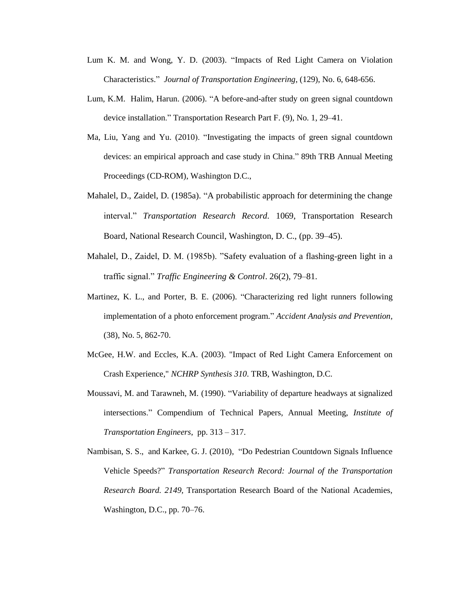- Lum K. M. and Wong, Y. D. (2003). "Impacts of Red Light Camera on Violation Characteristics." *Journal of Transportation Engineering*, (129), No. 6, 648-656.
- Lum, K.M. Halim, Harun. (2006). "A before-and-after study on green signal countdown device installation." Transportation Research Part F. (9), No. 1, 29–41.
- Ma, Liu, Yang and Yu. (2010). "Investigating the impacts of green signal countdown devices: an empirical approach and case study in China." 89th TRB Annual Meeting Proceedings (CD-ROM), Washington D.C.,
- Mahalel, D., Zaidel, D. (1985a). "A probabilistic approach for determining the change interval." *Transportation Research Record.* 1069, Transportation Research Board, National Research Council, Washington, D. C., (pp. 39–45).
- Mahalel, D., Zaidel, D. M. (1985b). "Safety evaluation of a flashing-green light in a traffic signal." *Traffic Engineering & Control*. 26(2), 79–81.
- Martinez, K. L., and Porter, B. E. (2006). "Characterizing red light runners following implementation of a photo enforcement program." *Accident Analysis and Prevention,* (38), No. 5, 862-70.
- McGee, H.W. and Eccles, K.A. (2003). "Impact of Red Light Camera Enforcement on Crash Experience," *NCHRP Synthesis 310*. TRB, Washington, D.C.
- Moussavi, M. and Tarawneh, M. (1990). "Variability of departure headways at signalized intersections." Compendium of Technical Papers, Annual Meeting, *Institute of Transportation Engineers*, pp. 313 – 317.
- Nambisan, S. S., and Karkee, G. J. (2010), "Do Pedestrian Countdown Signals Influence Vehicle Speeds?" *Transportation Research Record: Journal of the Transportation Research Board. 2149,* Transportation Research Board of the National Academies, Washington, D.C., pp. 70–76.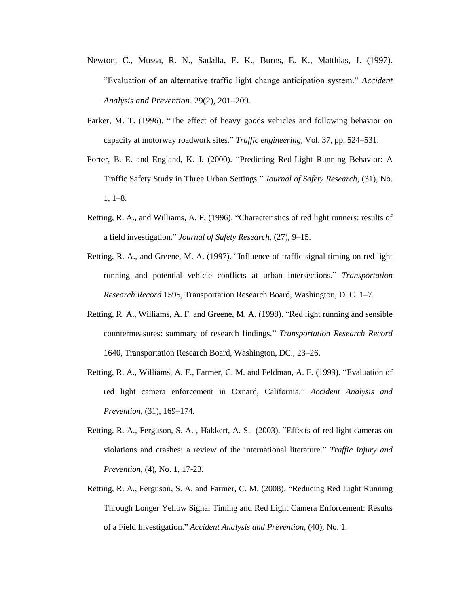- Newton, C., Mussa, R. N., Sadalla, E. K., Burns, E. K., Matthias, J. (1997). "Evaluation of an alternative traffic light change anticipation system." *Accident Analysis and Prevention*. 29(2), 201–209.
- Parker, M. T. (1996). "The effect of heavy goods vehicles and following behavior on capacity at motorway roadwork sites." *Traffic engineering*, Vol. 37, pp. 524–531.
- Porter, B. E. and England, K. J. (2000). "Predicting Red-Light Running Behavior: A Traffic Safety Study in Three Urban Settings." *Journal of Safety Research,* (31), No. 1, 1–8.
- Retting, R. A., and Williams, A. F. (1996). "Characteristics of red light runners: results of a field investigation." *Journal of Safety Research,* (27), 9–15.
- Retting, R. A., and Greene, M. A. (1997). "Influence of traffic signal timing on red light running and potential vehicle conflicts at urban intersections." *Transportation Research Record* 1595*,* Transportation Research Board, Washington, D. C. 1–7.
- Retting, R. A., Williams, A. F. and Greene, M. A. (1998). "Red light running and sensible countermeasures: summary of research findings." *Transportation Research Record*  1640, Transportation Research Board, Washington, DC., 23–26.
- Retting, R. A., Williams, A. F., Farmer, C. M. and Feldman, A. F. (1999). "Evaluation of red light camera enforcement in Oxnard, California." *Accident Analysis and Prevention*, (31), 169–174.
- Retting, R. A., Ferguson, S. A. , Hakkert, A. S. (2003). "Effects of red light cameras on violations and crashes: a review of the international literature." *Traffic Injury and Prevention*, (4), No. 1, 17-23.
- Retting, R. A., Ferguson, S. A. and Farmer, C. M. (2008). "Reducing Red Light Running Through Longer Yellow Signal Timing and Red Light Camera Enforcement: Results of a Field Investigation." *Accident Analysis and Prevention*, (40), No. 1.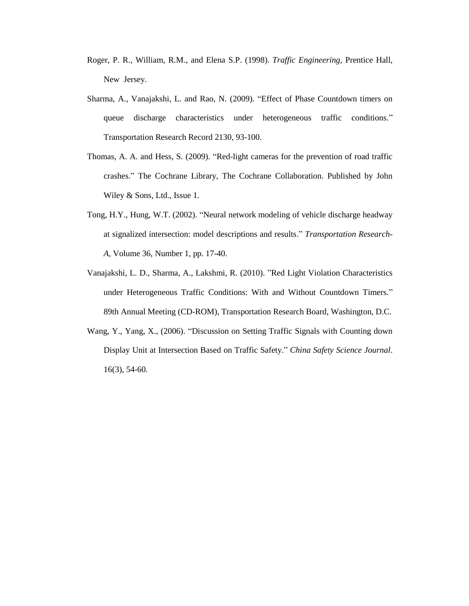- Roger, P. R., William, R.M., and Elena S.P. (1998). *Traffic Engineering*, Prentice Hall, New Jersey.
- Sharma, A., Vanajakshi, L. and Rao, N. (2009). "Effect of Phase Countdown timers on queue discharge characteristics under heterogeneous traffic conditions." Transportation Research Record 2130, 93-100.
- Thomas, A. A. and Hess, S. (2009). "Red-light cameras for the prevention of road traffic crashes." The Cochrane Library, The Cochrane Collaboration. Published by John Wiley & Sons, Ltd., Issue 1.
- Tong, H.Y., Hung, W.T. (2002). "Neural network modeling of vehicle discharge headway at signalized intersection: model descriptions and results." *Transportation Research-A*, Volume 36, Number 1, pp. 17-40.
- Vanajakshi, L. D., Sharma, A., Lakshmi, R. (2010). "Red Light Violation Characteristics under Heterogeneous Traffic Conditions: With and Without Countdown Timers." 89th Annual Meeting (CD-ROM), Transportation Research Board, Washington, D.C.
- Wang, Y., Yang, X., (2006). "Discussion on Setting Traffic Signals with Counting down Display Unit at Intersection Based on Traffic Safety." *China Safety Science Journal*. 16(3), 54-60.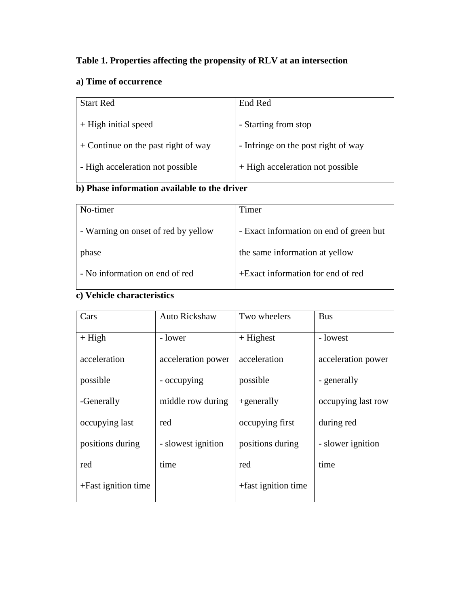## **Table 1. Properties affecting the propensity of RLV at an intersection**

### **a) Time of occurrence**

| <b>Start Red</b>                      | End Red                             |
|---------------------------------------|-------------------------------------|
|                                       |                                     |
| $+$ High initial speed                | - Starting from stop                |
| $+$ Continue on the past right of way | - Infringe on the post right of way |
| - High acceleration not possible      | + High acceleration not possible    |

### **b) Phase information available to the driver**

| No-timer                            | Timer                                   |
|-------------------------------------|-----------------------------------------|
|                                     |                                         |
| - Warning on onset of red by yellow | - Exact information on end of green but |
| phase                               | the same information at yellow          |
| - No information on end of red      | +Exact information for end of red       |

# **c) Vehicle characteristics**

| Cars                  | <b>Auto Rickshaw</b> | Two wheelers        | <b>Bus</b>         |
|-----------------------|----------------------|---------------------|--------------------|
| $+ High$              | - lower              | $+$ Highest         | - lowest           |
| acceleration          | acceleration power   | acceleration        | acceleration power |
| possible              | - occupying          | possible            | - generally        |
| -Generally            | middle row during    | $+$ generally       | occupying last row |
| occupying last        | red                  | occupying first     | during red         |
| positions during      | - slowest ignition   | positions during    | - slower ignition  |
| red                   | time                 | red                 | time               |
| $+Fast$ ignition time |                      | +fast ignition time |                    |